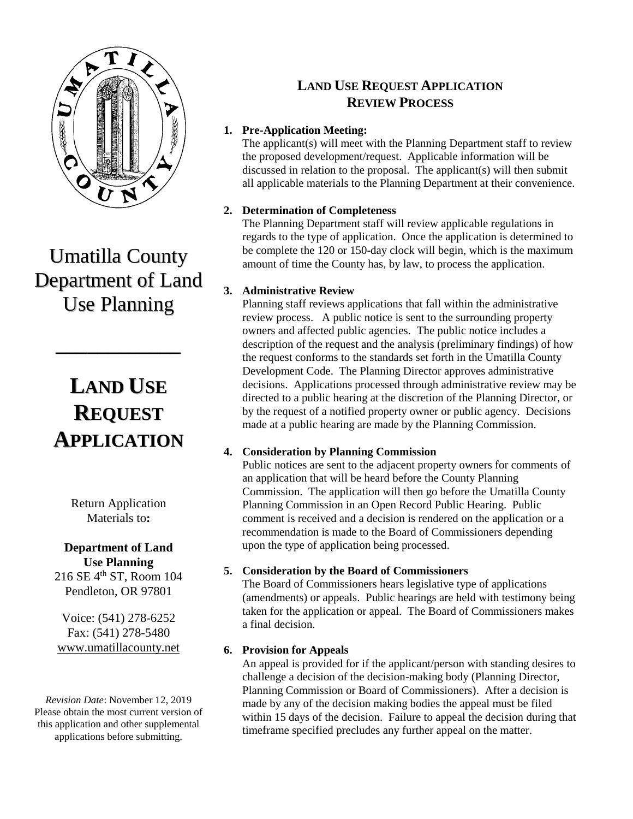

Umatilla County Department of Land Use Planning

**\_\_\_\_\_\_\_\_\_\_\_\_**

# **LAND USE REQUEST APPLICATION**

Return Application Materials to**:**

### **Department of Land Use Planning**

216 SE 4<sup>th</sup> ST, Room 104 Pendleton, OR 97801

Voice: (541) 278-6252 Fax: (541) 278-5480 [www.umatillacounty.net](http://www.co.umatilla.or.us/)

*Revision Date*: November 12, 2019 Please obtain the most current version of this application and other supplemental applications before submitting.

### **LAND USE REQUEST APPLICATION REVIEW PROCESS**

#### **1. Pre-Application Meeting:**

The applicant(s) will meet with the Planning Department staff to review the proposed development/request. Applicable information will be discussed in relation to the proposal. The applicant(s) will then submit all applicable materials to the Planning Department at their convenience.

#### **2. Determination of Completeness**

The Planning Department staff will review applicable regulations in regards to the type of application. Once the application is determined to be complete the 120 or 150-day clock will begin, which is the maximum amount of time the County has, by law, to process the application.

#### **3. Administrative Review**

Planning staff reviews applications that fall within the administrative review process. A public notice is sent to the surrounding property owners and affected public agencies. The public notice includes a description of the request and the analysis (preliminary findings) of how the request conforms to the standards set forth in the Umatilla County Development Code. The Planning Director approves administrative decisions. Applications processed through administrative review may be directed to a public hearing at the discretion of the Planning Director, or by the request of a notified property owner or public agency. Decisions made at a public hearing are made by the Planning Commission.

#### **4. Consideration by Planning Commission**

Public notices are sent to the adjacent property owners for comments of an application that will be heard before the County Planning Commission. The application will then go before the Umatilla County Planning Commission in an Open Record Public Hearing. Public comment is received and a decision is rendered on the application or a recommendation is made to the Board of Commissioners depending upon the type of application being processed.

#### **5. Consideration by the Board of Commissioners**

The Board of Commissioners hears legislative type of applications (amendments) or appeals. Public hearings are held with testimony being taken for the application or appeal. The Board of Commissioners makes a final decision.

#### **6. Provision for Appeals**

An appeal is provided for if the applicant/person with standing desires to challenge a decision of the decision-making body (Planning Director, Planning Commission or Board of Commissioners). After a decision is made by any of the decision making bodies the appeal must be filed within 15 days of the decision. Failure to appeal the decision during that timeframe specified precludes any further appeal on the matter.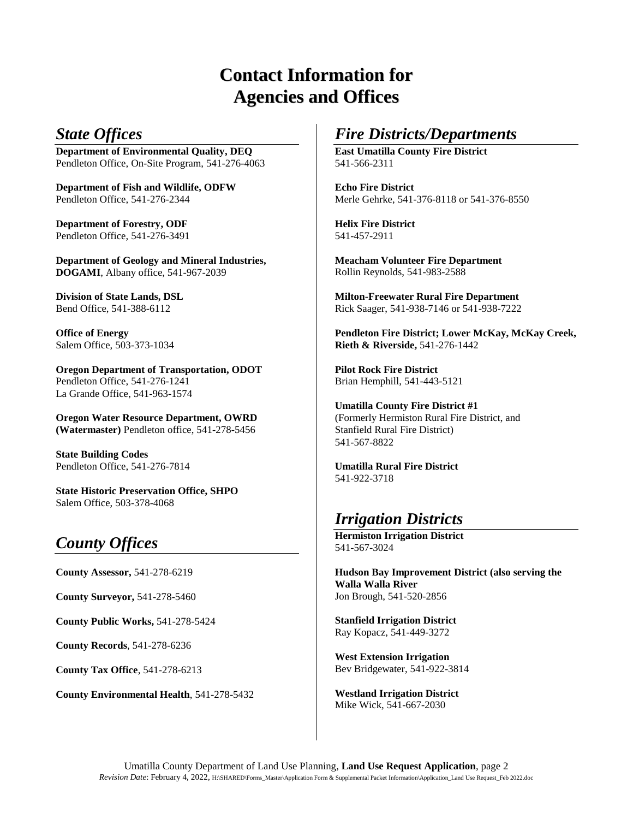# **Contact Information for Agencies and Offices**

### *State Offices*

**Department of Environmental Quality, DEQ** Pendleton Office, On-Site Program, 541-276-4063

**Department of Fish and Wildlife, ODFW** Pendleton Office, 541-276-2344

**Department of Forestry, ODF** Pendleton Office, 541-276-3491

**Department of Geology and Mineral Industries, DOGAMI**, Albany office, 541-967-2039

**Division of State Lands, DSL** Bend Office, 541-388-6112

**Office of Energy** Salem Office, 503-373-1034

**Oregon Department of Transportation, ODOT** Pendleton Office, 541-276-1241 La Grande Office, 541-963-1574

**Oregon Water Resource Department, OWRD (Watermaster)** Pendleton office, 541-278-5456

**State Building Codes** Pendleton Office, 541-276-7814

**State Historic Preservation Office, SHPO** Salem Office, 503-378-4068

### *County Offices*

**County Assessor,** 541-278-6219

**County Surveyor,** 541-278-5460

**County Public Works,** 541-278-5424

**County Records**, 541-278-6236

**County Tax Office**, 541-278-6213

**County Environmental Health**, 541-278-5432

### *Fire Districts/Departments*

**East Umatilla County Fire District** 541-566-2311

**Echo Fire District** Merle Gehrke, 541-376-8118 or 541-376-8550

**Helix Fire District** 541-457-2911

**Meacham Volunteer Fire Department** Rollin Reynolds, 541-983-2588

**Milton-Freewater Rural Fire Department** Rick Saager, 541-938-7146 or 541-938-7222

**Pendleton Fire District; Lower McKay, McKay Creek, Rieth & Riverside,** 541-276-1442

**Pilot Rock Fire District** Brian Hemphill, 541-443-5121

**Umatilla County Fire District #1** (Formerly Hermiston Rural Fire District, and Stanfield Rural Fire District) 541-567-8822

**Umatilla Rural Fire District**  541-922-3718

### *Irrigation Districts*

**Hermiston Irrigation District** 541-567-3024

**Hudson Bay Improvement District (also serving the Walla Walla River**  Jon Brough, 541-520-2856

**Stanfield Irrigation District**  Ray Kopacz, 541-449-3272

**West Extension Irrigation** Bev Bridgewater, 541-922-3814

**Westland Irrigation District**  Mike Wick, 541-667-2030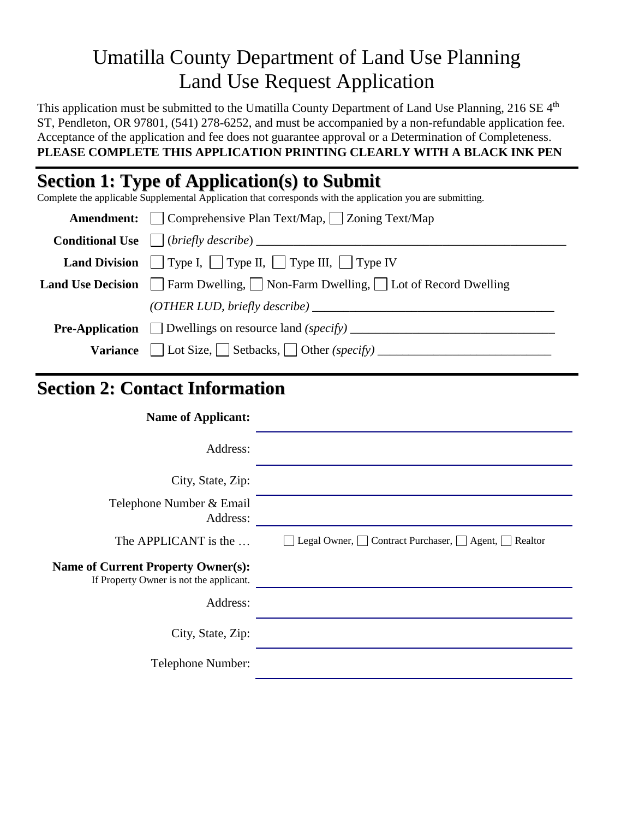# Umatilla County Department of Land Use Planning Land Use Request Application

This application must be submitted to the Umatilla County Department of Land Use Planning, 216 SE 4<sup>th</sup> ST, Pendleton, OR 97801, (541) 278-6252, and must be accompanied by a non-refundable application fee. Acceptance of the application and fee does not guarantee approval or a Determination of Completeness. **PLEASE COMPLETE THIS APPLICATION PRINTING CLEARLY WITH A BLACK INK PEN** 

# **Section 1: Type of Application(s) to Submit**

Complete the applicable Supplemental  $\overline{A}$ pplication that corresponds with the application you are submitting.

| <b>Amendment:</b> $\Box$ Comprehensive Plan Text/Map, $\Box$ Zoning Text/Map                           |  |  |
|--------------------------------------------------------------------------------------------------------|--|--|
| <b>Conditional Use</b> $\Box$ (briefly describe) $\Box$                                                |  |  |
| <b>Land Division</b> Type I, Type II, Type III, Type IV                                                |  |  |
| <b>Land Use Decision</b> $\Box$ Farm Dwelling, $\Box$ Non-Farm Dwelling, $\Box$ Lot of Record Dwelling |  |  |
| (OTHER LUD, briefly describe)                                                                          |  |  |
| <b>Pre-Application</b> Dwellings on resource land $(specify)$                                          |  |  |
| <b>Variance</b> $\Box$ Lot Size, $\Box$ Setbacks, $\Box$ Other (specify)                               |  |  |

## **Section 2: Contact Information**

**Name of Applicant:** Address: City, State, Zip: Telephone Number & Email Address: The APPLICANT is the  $\dots$   $\Box$  Legal Owner,  $\Box$  Contract Purchaser,  $\Box$  Agent,  $\Box$  Realtor **Name of Current Property Owner(s):** If Property Owner is not the applicant. Address: City, State, Zip: Telephone Number: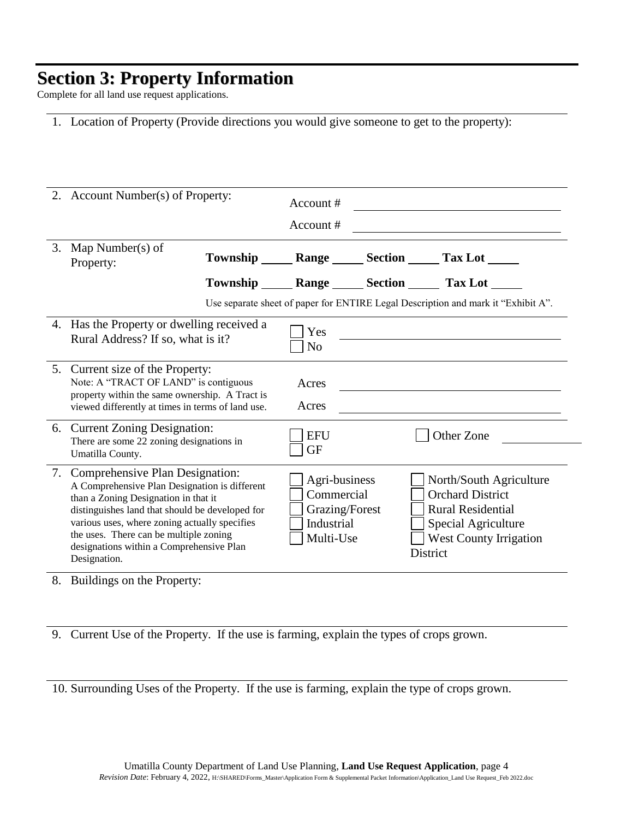# **Section 3: Property Information**

Complete for all land use request applications.

|  |  |  | 1. Location of Property (Provide directions you would give someone to get to the property): |  |  |
|--|--|--|---------------------------------------------------------------------------------------------|--|--|
|--|--|--|---------------------------------------------------------------------------------------------|--|--|

|    | 2. Account Number(s) of Property:                                                                                                                                                                                                                                                                                                  | Account #<br>Account #                                                          |                                                                                                                                                           |
|----|------------------------------------------------------------------------------------------------------------------------------------------------------------------------------------------------------------------------------------------------------------------------------------------------------------------------------------|---------------------------------------------------------------------------------|-----------------------------------------------------------------------------------------------------------------------------------------------------------|
|    | 3. Map Number(s) of<br>Property:                                                                                                                                                                                                                                                                                                   |                                                                                 | Township _______ Range _______ Section _______ Tax Lot ______                                                                                             |
|    |                                                                                                                                                                                                                                                                                                                                    |                                                                                 | Township _______ Range _______ Section _______ Tax Lot ______                                                                                             |
|    |                                                                                                                                                                                                                                                                                                                                    |                                                                                 | Use separate sheet of paper for ENTIRE Legal Description and mark it "Exhibit A".                                                                         |
|    | 4. Has the Property or dwelling received a<br>Rural Address? If so, what is it?                                                                                                                                                                                                                                                    | Yes<br>N <sub>o</sub>                                                           |                                                                                                                                                           |
|    | 5. Current size of the Property:<br>Note: A "TRACT OF LAND" is contiguous<br>property within the same ownership. A Tract is<br>viewed differently at times in terms of land use.                                                                                                                                                   | Acres<br>Acres                                                                  |                                                                                                                                                           |
|    | 6. Current Zoning Designation:<br>There are some 22 zoning designations in<br>Umatilla County.                                                                                                                                                                                                                                     | <b>EFU</b><br><b>GF</b>                                                         | Other Zone                                                                                                                                                |
| 7. | Comprehensive Plan Designation:<br>A Comprehensive Plan Designation is different<br>than a Zoning Designation in that it<br>distinguishes land that should be developed for<br>various uses, where zoning actually specifies<br>the uses. There can be multiple zoning<br>designations within a Comprehensive Plan<br>Designation. | Agri-business<br>Commercial<br>Grazing/Forest<br><b>Industrial</b><br>Multi-Use | North/South Agriculture<br><b>Orchard District</b><br><b>Rural Residential</b><br>Special Agriculture<br><b>West County Irrigation</b><br><b>District</b> |

8. Buildings on the Property:

9. Current Use of the Property. If the use is farming, explain the types of crops grown.

10. Surrounding Uses of the Property. If the use is farming, explain the type of crops grown.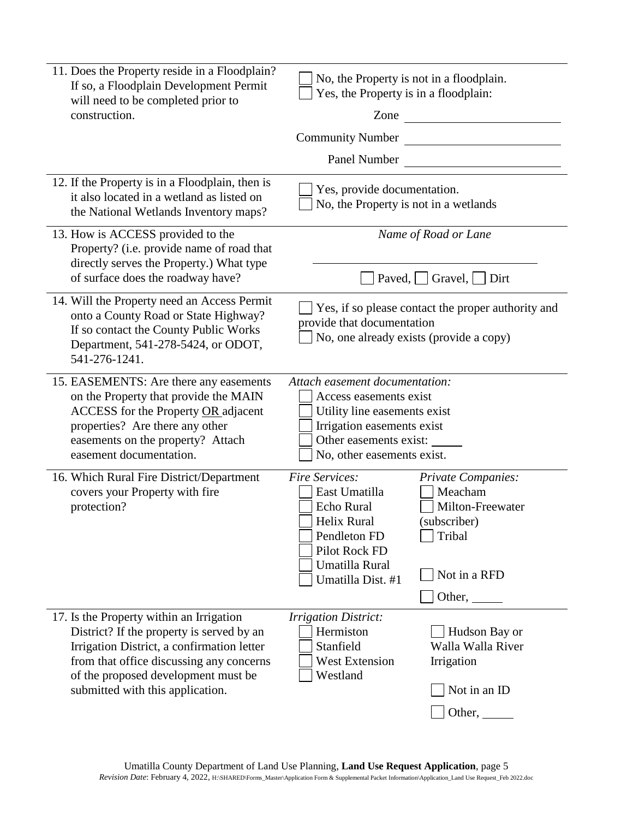| 11. Does the Property reside in a Floodplain?<br>If so, a Floodplain Development Permit<br>will need to be completed prior to<br>construction.                                                                                                             | Yes, the Property is in a floodplain:<br><b>Community Number</b>                                                                                                               | No, the Property is not in a floodplain.<br>Zone $\qquad \qquad$                                             |
|------------------------------------------------------------------------------------------------------------------------------------------------------------------------------------------------------------------------------------------------------------|--------------------------------------------------------------------------------------------------------------------------------------------------------------------------------|--------------------------------------------------------------------------------------------------------------|
|                                                                                                                                                                                                                                                            | Panel Number                                                                                                                                                                   |                                                                                                              |
| 12. If the Property is in a Floodplain, then is<br>it also located in a wetland as listed on<br>the National Wetlands Inventory maps?                                                                                                                      | Yes, provide documentation.<br>No, the Property is not in a wetlands                                                                                                           |                                                                                                              |
| 13. How is ACCESS provided to the<br>Property? (i.e. provide name of road that<br>directly serves the Property.) What type<br>of surface does the roadway have?                                                                                            |                                                                                                                                                                                | Name of Road or Lane<br>Paved,     Gravel,     Dirt                                                          |
| 14. Will the Property need an Access Permit<br>onto a County Road or State Highway?<br>If so contact the County Public Works<br>Department, 541-278-5424, or ODOT,<br>541-276-1241.                                                                        | provide that documentation                                                                                                                                                     | Yes, if so please contact the proper authority and<br>No, one already exists (provide a copy)                |
| 15. EASEMENTS: Are there any easements<br>on the Property that provide the MAIN<br>ACCESS for the Property OR adjacent<br>properties? Are there any other<br>easements on the property? Attach<br>easement documentation.                                  | Attach easement documentation:<br>Access easements exist<br>Utility line easements exist<br>Irrigation easements exist<br>Other easements exist:<br>No, other easements exist. |                                                                                                              |
| 16. Which Rural Fire District/Department<br>covers your Property with fire<br>protection?                                                                                                                                                                  | Fire Services:<br>East Umatilla<br>Echo Rural<br><b>Helix Rural</b><br>Pendleton FD<br>Pilot Rock FD<br>Umatilla Rural<br>Umatilla Dist. #1                                    | <b>Private Companies:</b><br>Meacham<br>Milton-Freewater<br>(subscriber)<br>Tribal<br>Not in a RFD<br>Other, |
| 17. Is the Property within an Irrigation<br>District? If the property is served by an<br>Irrigation District, a confirmation letter<br>from that office discussing any concerns<br>of the proposed development must be<br>submitted with this application. | <b>Irrigation District:</b><br>Hermiston<br>Stanfield<br><b>West Extension</b><br>Westland                                                                                     | Hudson Bay or<br>Walla Walla River<br>Irrigation<br>Not in an ID<br>Other,                                   |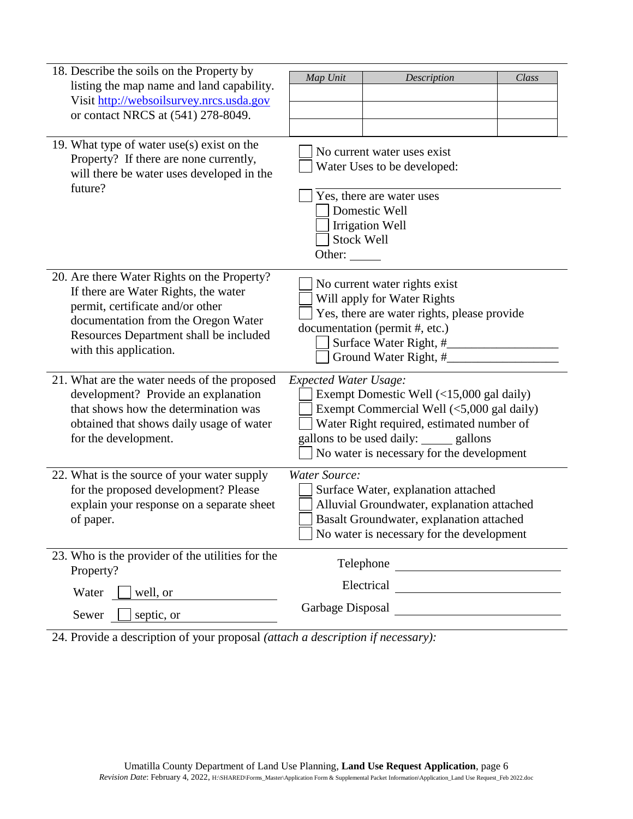| 18. Describe the soils on the Property by<br>listing the map name and land capability.<br>Visit http://websoilsurvey.nrcs.usda.gov<br>or contact NRCS at (541) 278-8049.                                                           | Map Unit                           | Description                                                                                                                                                                                                          | Class |
|------------------------------------------------------------------------------------------------------------------------------------------------------------------------------------------------------------------------------------|------------------------------------|----------------------------------------------------------------------------------------------------------------------------------------------------------------------------------------------------------------------|-------|
| 19. What type of water $use(s)$ exist on the<br>Property? If there are none currently,<br>will there be water uses developed in the<br>future?                                                                                     | <b>Stock Well</b><br>Other: $\_\_$ | No current water uses exist<br>Water Uses to be developed:<br>Yes, there are water uses<br>Domestic Well<br><b>Irrigation Well</b>                                                                                   |       |
| 20. Are there Water Rights on the Property?<br>If there are Water Rights, the water<br>permit, certificate and/or other<br>documentation from the Oregon Water<br>Resources Department shall be included<br>with this application. |                                    | No current water rights exist<br>Will apply for Water Rights<br>Yes, there are water rights, please provide<br>documentation (permit #, etc.)<br>Surface Water Right, #<br>Ground Water Right, #                     |       |
| 21. What are the water needs of the proposed<br>development? Provide an explanation<br>that shows how the determination was<br>obtained that shows daily usage of water<br>for the development.                                    | <b>Expected Water Usage:</b>       | Exempt Domestic Well (<15,000 gal daily)<br>Exempt Commercial Well (<5,000 gal daily)<br>Water Right required, estimated number of<br>gallons to be used daily: sallons<br>No water is necessary for the development |       |
| 22. What is the source of your water supply<br>for the proposed development? Please<br>explain your response on a separate sheet<br>of paper.                                                                                      | <b>Water Source:</b>               | Surface Water, explanation attached<br>Alluvial Groundwater, explanation attached<br>Basalt Groundwater, explanation attached<br>No water is necessary for the development                                           |       |
| 23. Who is the provider of the utilities for the<br>Property?                                                                                                                                                                      |                                    | Telephone                                                                                                                                                                                                            |       |
| Water<br>well, or                                                                                                                                                                                                                  |                                    | Garbage Disposal                                                                                                                                                                                                     |       |
| Sewer<br>septic, or                                                                                                                                                                                                                |                                    |                                                                                                                                                                                                                      |       |

24. Provide a description of your proposal *(attach a description if necessary):*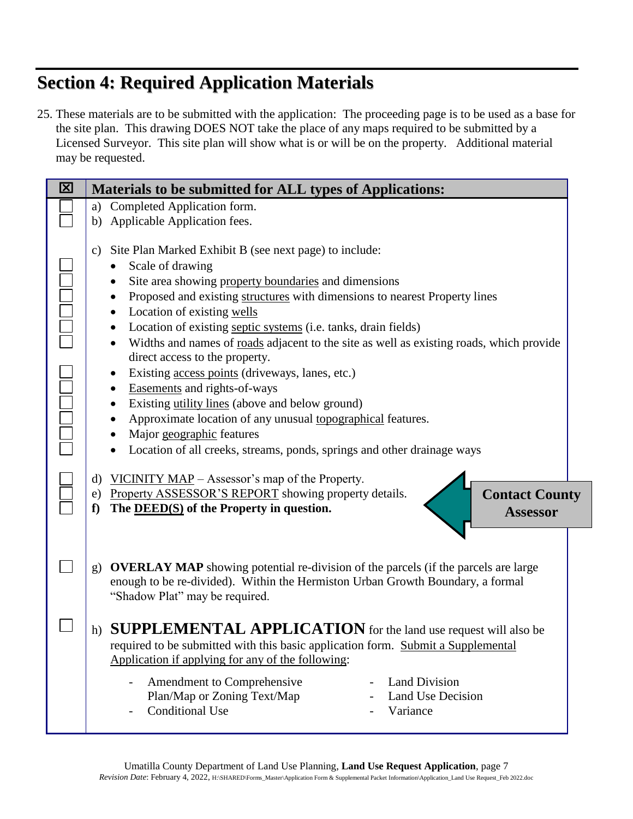# **Section 4: Required Application Materials**

25. These materials are to be submitted with the application: The proceeding page is to be used as a base for the site plan. This drawing DOES NOT take the place of any maps required to be submitted by a Licensed Surveyor. This site plan will show what is or will be on the property. Additional material may be requested.

| 区 | Materials to be submitted for ALL types of Applications:                                                                                                                                                                                                                                                                                                                                                                                                                                                                                                                                                                                                                                                                                                                                 |  |  |
|---|------------------------------------------------------------------------------------------------------------------------------------------------------------------------------------------------------------------------------------------------------------------------------------------------------------------------------------------------------------------------------------------------------------------------------------------------------------------------------------------------------------------------------------------------------------------------------------------------------------------------------------------------------------------------------------------------------------------------------------------------------------------------------------------|--|--|
|   | Completed Application form.<br>a)                                                                                                                                                                                                                                                                                                                                                                                                                                                                                                                                                                                                                                                                                                                                                        |  |  |
|   | b) Applicable Application fees.                                                                                                                                                                                                                                                                                                                                                                                                                                                                                                                                                                                                                                                                                                                                                          |  |  |
|   | Site Plan Marked Exhibit B (see next page) to include:<br>$\mathbf{c})$<br>Scale of drawing<br>Site area showing property boundaries and dimensions<br>Proposed and existing structures with dimensions to nearest Property lines<br>Location of existing wells<br>Location of existing septic systems (i.e. tanks, drain fields)<br>Widths and names of roads adjacent to the site as well as existing roads, which provide<br>direct access to the property.<br>Existing access points (driveways, lanes, etc.)<br>Easements and rights-of-ways<br>Existing utility lines (above and below ground)<br>Approximate location of any unusual topographical features.<br>Major geographic features<br>Location of all creeks, streams, ponds, springs and other drainage ways<br>$\bullet$ |  |  |
|   | VICINITY MAP – Assessor's map of the Property.<br>d)<br>Property ASSESSOR'S REPORT showing property details.<br><b>Contact County</b><br>e)<br>The $\overline{\text{DEED}(S)}$ of the Property in question.<br>f<br><b>Assessor</b>                                                                                                                                                                                                                                                                                                                                                                                                                                                                                                                                                      |  |  |
|   | <b>OVERLAY MAP</b> showing potential re-division of the parcels (if the parcels are large<br>g)<br>enough to be re-divided). Within the Hermiston Urban Growth Boundary, a formal<br>"Shadow Plat" may be required.                                                                                                                                                                                                                                                                                                                                                                                                                                                                                                                                                                      |  |  |
|   | <b>SUPPLEMENTAL APPLICATION</b> for the land use request will also be<br>h)<br>required to be submitted with this basic application form. Submit a Supplemental<br>Application if applying for any of the following:                                                                                                                                                                                                                                                                                                                                                                                                                                                                                                                                                                     |  |  |
|   | Amendment to Comprehensive<br><b>Land Division</b><br>Plan/Map or Zoning Text/Map<br><b>Land Use Decision</b><br><b>Conditional Use</b><br>Variance                                                                                                                                                                                                                                                                                                                                                                                                                                                                                                                                                                                                                                      |  |  |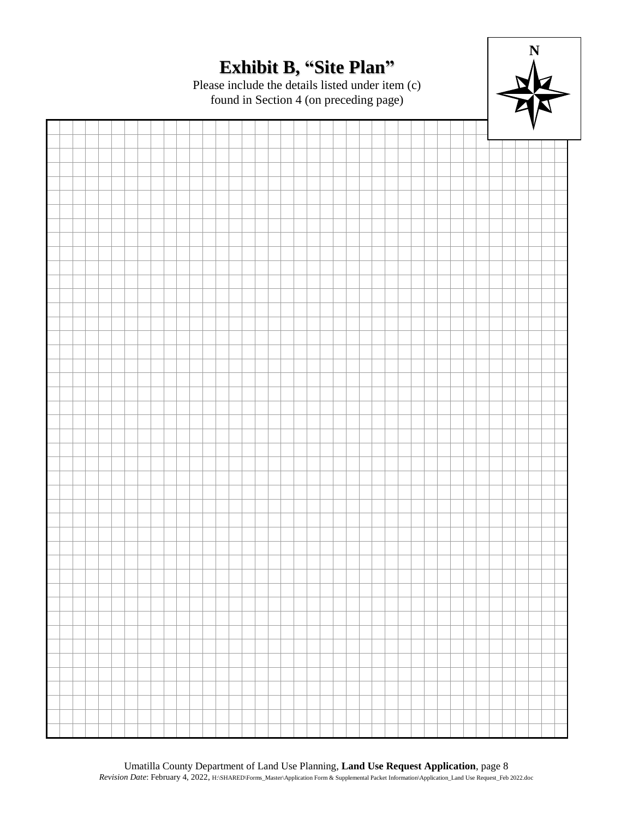